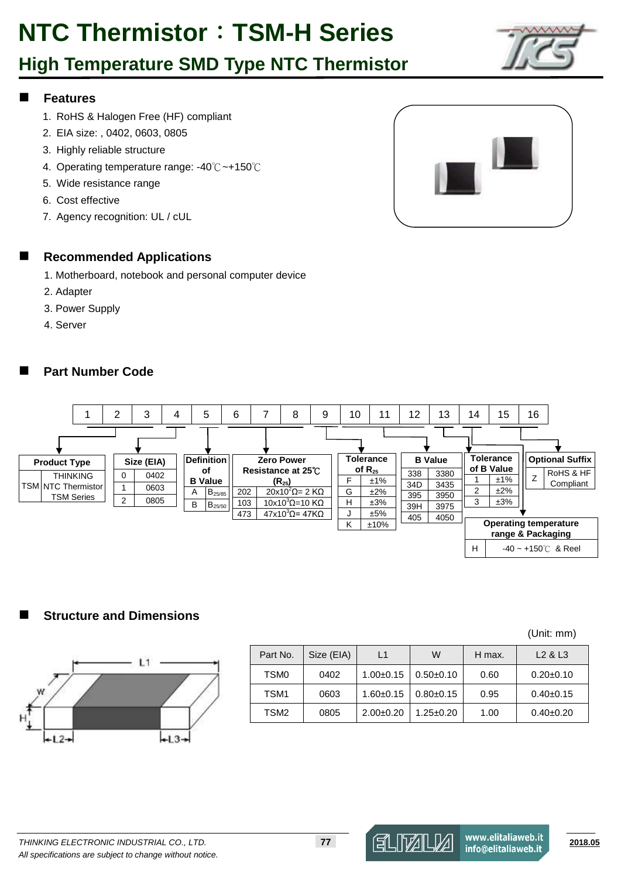# **NTC Thermistor**:**TSM-H Series**

### **High Temperature SMD Type NTC Thermistor**



#### **Features**

- 1. RoHS & Halogen Free (HF) compliant
- 2. EIA size: , 0402, 0603, 0805
- 3. Highly reliable structure
- 4. Operating temperature range: -40℃~+150℃
- 5. Wide resistance range
- 6. Cost effective
- 7. Agency recognition: UL / cUL



#### **Recommended Applications**

- 1. Motherboard, notebook and personal computer device
- 2. Adapter
- 3. Power Supply
- 4. Server

#### **Part Number Code**



#### **Structure and Dimensions**



|        | -<br>×<br>÷ |
|--------|-------------|
|        |             |
| $+12-$ | $+13+$      |

|                  |            |               |                 |        | .                               |
|------------------|------------|---------------|-----------------|--------|---------------------------------|
| Part No.         | Size (EIA) | L1            | W               | H max. | L <sub>2</sub> & L <sub>3</sub> |
| TSM <sub>0</sub> | 0402       | $1.00 + 0.15$ | $0.50+0.10$     | 0.60   | $0.20 \pm 0.10$                 |
| TSM <sub>1</sub> | 0603       | $1.60 + 0.15$ | $0.80+0.15$     | 0.95   | $0.40+0.15$                     |
| TSM <sub>2</sub> | 0805       | $2.00+0.20$   | $1.25 \pm 0.20$ | 1.00   | $0.40+0.20$                     |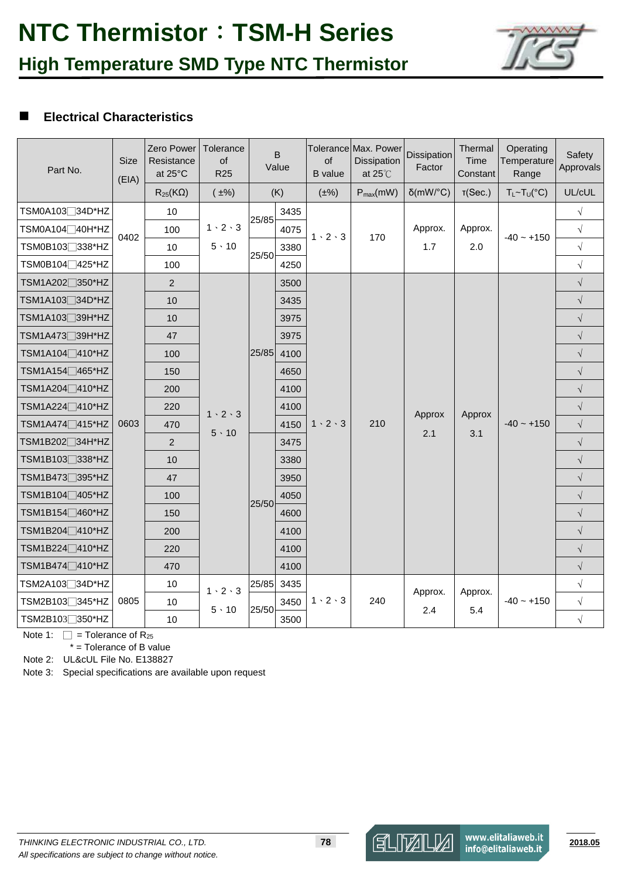

#### **Electrical Characteristics**

| Part No.                     | Size<br>(EIA) | Zero Power<br>Resistance<br>at 25°C | Tolerance<br>of<br><b>R25</b>       |       | B<br>Value | of<br><b>B</b> value | Tolerance Max. Power<br>Dissipation<br>at $25^{\circ}$ C | Dissipation<br>Factor | Thermal<br>Time<br>Constant | Operating<br>Temperature<br>Range | Safety<br>Approvals |  |           |      |  |  |  |      |  |           |  |  |      |           |  |  |  |  |           |
|------------------------------|---------------|-------------------------------------|-------------------------------------|-------|------------|----------------------|----------------------------------------------------------|-----------------------|-----------------------------|-----------------------------------|---------------------|--|-----------|------|--|--|--|------|--|-----------|--|--|------|-----------|--|--|--|--|-----------|
|                              |               | $R_{25}$ (KQ)                       | $(\pm\%)$                           |       | (K)        | $(\pm\%)$            | $P_{max}(mW)$                                            | $\delta$ (mW/°C)      | T(Sec.)                     | $T_L \sim T_U({}^{\circ}C)$       | UL/cUL              |  |           |      |  |  |  |      |  |           |  |  |      |           |  |  |  |  |           |
| TSM0A103□34D*HZ              |               | 10                                  |                                     | 25/85 | 3435       |                      |                                                          |                       |                             |                                   | $\sqrt{}$           |  |           |      |  |  |  |      |  |           |  |  |      |           |  |  |  |  |           |
| TSM0A104□40H*HZ              | 0402          | 100                                 | $1 \cdot 2 \cdot 3$                 |       | 4075       | $1 \cdot 2 \cdot 3$  | 170                                                      | Approx.               | Approx.                     | $-40 - +150$                      | $\sqrt{ }$          |  |           |      |  |  |  |      |  |           |  |  |      |           |  |  |  |  |           |
| TSM0B103 <sup>7338*</sup> HZ |               | 10                                  | $5 \cdot 10$                        | 25/50 | 3380       |                      |                                                          | 1.7                   | 2.0                         |                                   | $\sqrt{ }$          |  |           |      |  |  |  |      |  |           |  |  |      |           |  |  |  |  |           |
| TSM0B104 <sup>1</sup> 425*HZ |               | 100                                 |                                     |       | 4250       |                      |                                                          |                       |                             |                                   | $\sqrt{}$           |  |           |      |  |  |  |      |  |           |  |  |      |           |  |  |  |  |           |
| TSM1A202 <sup>∩</sup> 350*HZ |               | $\overline{2}$                      |                                     |       | 3500       |                      |                                                          |                       |                             |                                   | $\sqrt{ }$          |  |           |      |  |  |  |      |  |           |  |  |      |           |  |  |  |  |           |
| TSM1A103□34D*HZ              |               | 10                                  |                                     |       | 3435       |                      |                                                          |                       |                             |                                   | $\sqrt{}$           |  |           |      |  |  |  |      |  |           |  |  |      |           |  |  |  |  |           |
| TSM1A103□39H*HZ              |               | 10                                  |                                     |       | 3975       |                      |                                                          |                       |                             |                                   | $\sqrt{}$           |  |           |      |  |  |  |      |  |           |  |  |      |           |  |  |  |  |           |
| TSM1A473□39H*HZ              |               | 47                                  | $1 \cdot 2 \cdot 3$<br>$5 \cdot 10$ |       |            |                      | 3975                                                     |                       |                             |                                   |                     |  | $\sqrt{}$ |      |  |  |  |      |  |           |  |  |      |           |  |  |  |  |           |
| TSM1A104□410*HZ              |               | 100                                 |                                     |       |            |                      |                                                          |                       |                             |                                   |                     |  | 25/85     | 4100 |  |  |  |      |  | $\sqrt{}$ |  |  |      |           |  |  |  |  |           |
| TSM1A154□465*HZ              |               | 150                                 |                                     |       | 4650       |                      |                                                          |                       |                             |                                   | $\sqrt{}$           |  |           |      |  |  |  |      |  |           |  |  |      |           |  |  |  |  |           |
| TSM1A204 <sup></sup> 410*HZ  |               | 200                                 |                                     |       |            |                      | 4100                                                     |                       |                             |                                   |                     |  | $\sqrt{}$ |      |  |  |  |      |  |           |  |  |      |           |  |  |  |  |           |
| TSM1A224 <sup></sup> 410*HZ  |               | 220                                 |                                     |       | 4100       |                      |                                                          | Approx                | Approx                      | $-40 - +150$                      | $\sqrt{}$           |  |           |      |  |  |  |      |  |           |  |  |      |           |  |  |  |  |           |
| TSM1A474 <sup>∩</sup> 415*HZ | 0603          | 470                                 |                                     |       | 4150       | $1 \cdot 2 \cdot 3$  | 210                                                      | 2.1                   |                             |                                   | $\sqrt{}$           |  |           |      |  |  |  |      |  |           |  |  |      |           |  |  |  |  |           |
| TSM1B202 <sub>□</sub> 34H*HZ |               | $\overline{2}$                      |                                     |       |            |                      | 3475                                                     |                       |                             |                                   | 3.1                 |  | $\sqrt{}$ |      |  |  |  |      |  |           |  |  |      |           |  |  |  |  |           |
| TSM1B103□338*HZ              |               | 10                                  |                                     |       |            |                      |                                                          |                       |                             |                                   |                     |  |           |      |  |  |  |      |  |           |  |  | 3380 |           |  |  |  |  | $\sqrt{}$ |
| TSM1B473□395*HZ              |               | 47                                  |                                     |       |            |                      |                                                          |                       |                             |                                   |                     |  |           |      |  |  |  | 3950 |  |           |  |  |      | $\sqrt{}$ |  |  |  |  |           |
| TSM1B104 <sup>1</sup> 405*HZ |               | 100                                 |                                     |       |            |                      | 4050                                                     |                       |                             |                                   |                     |  | $\sqrt{}$ |      |  |  |  |      |  |           |  |  |      |           |  |  |  |  |           |
| TSM1B154□460*HZ              |               | 150                                 |                                     | 25/50 | 4600       |                      |                                                          |                       |                             |                                   | $\sqrt{}$           |  |           |      |  |  |  |      |  |           |  |  |      |           |  |  |  |  |           |
| TSM1B204□410*HZ              |               | 200                                 |                                     |       | 4100       |                      |                                                          |                       |                             |                                   | $\sqrt{}$           |  |           |      |  |  |  |      |  |           |  |  |      |           |  |  |  |  |           |
| TSM1B224 <sup>∩</sup> 410*HZ |               | 220                                 |                                     |       | 4100       |                      |                                                          |                       |                             |                                   | $\sqrt{}$           |  |           |      |  |  |  |      |  |           |  |  |      |           |  |  |  |  |           |
| TSM1B474 <sup>10*HZ</sup>    |               | 470                                 |                                     |       | 4100       |                      |                                                          |                       |                             |                                   | $\sqrt{}$           |  |           |      |  |  |  |      |  |           |  |  |      |           |  |  |  |  |           |
| TSM2A103 <sup>34D*HZ</sup>   |               | 10                                  | $1 \cdot 2 \cdot 3$                 | 25/85 | 3435       |                      |                                                          |                       |                             |                                   | $\sqrt{}$           |  |           |      |  |  |  |      |  |           |  |  |      |           |  |  |  |  |           |
| TSM2B103□345*HZ              | 0805          | 10                                  |                                     |       | 3450       | $1 \cdot 2 \cdot 3$  | 240                                                      | Approx.               | Approx.                     | $-40 - +150$                      | $\sqrt{ }$          |  |           |      |  |  |  |      |  |           |  |  |      |           |  |  |  |  |           |
| TSM2B103□350*HZ              |               | 10                                  | $5 \cdot 10$                        | 25/50 | 3500       |                      |                                                          | 2.4                   | 5.4                         |                                   | $\sqrt{}$           |  |           |      |  |  |  |      |  |           |  |  |      |           |  |  |  |  |           |

Note 1:  $\Box$  = Tolerance of R<sub>25</sub>

\* = Tolerance of B value

Note 2: UL&cUL File No. E138827

Note 3: Special specifications are available upon request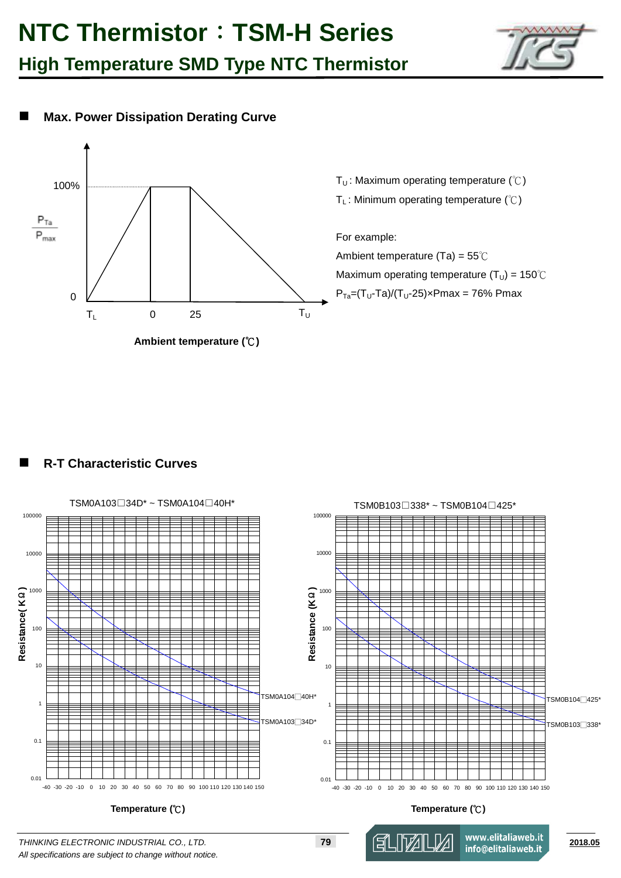

### **Max. Power Dissipation Derating Curve**



T<sub>U</sub>: Maximum operating temperature ( $°C$ ) T<sub>L</sub>: Minimum operating temperature (℃) For example:

Ambient temperature (Ta) = 55℃ Maximum operating temperature ( $T_U$ ) = 150°C  $P_{Ta}=(T_U-Ta)/(T_U-25) \times Pmax = 76\% Pmax$ 

#### **R-T Characteristic Curves**



*All specifications are subject to change without notice.*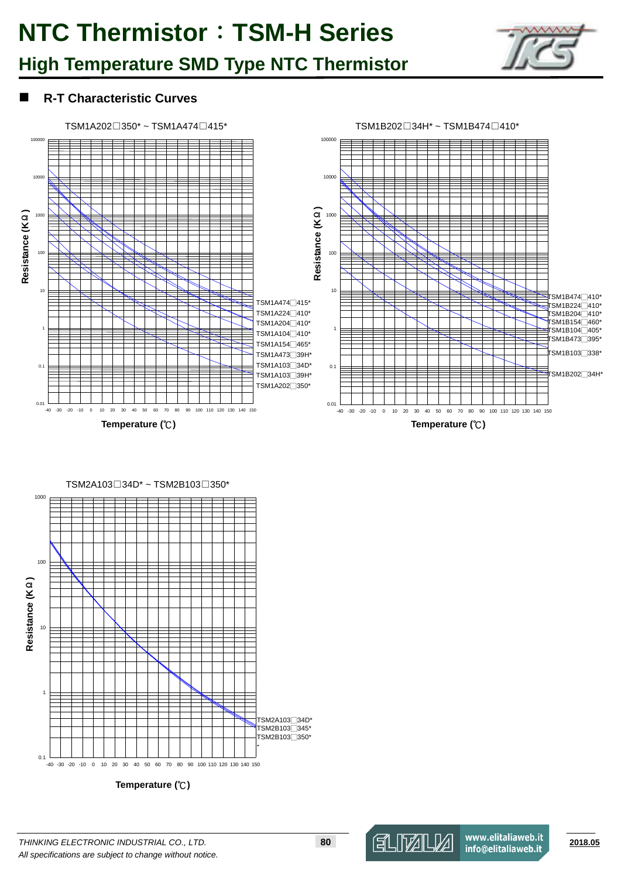

#### **R-T Characteristic Curves**



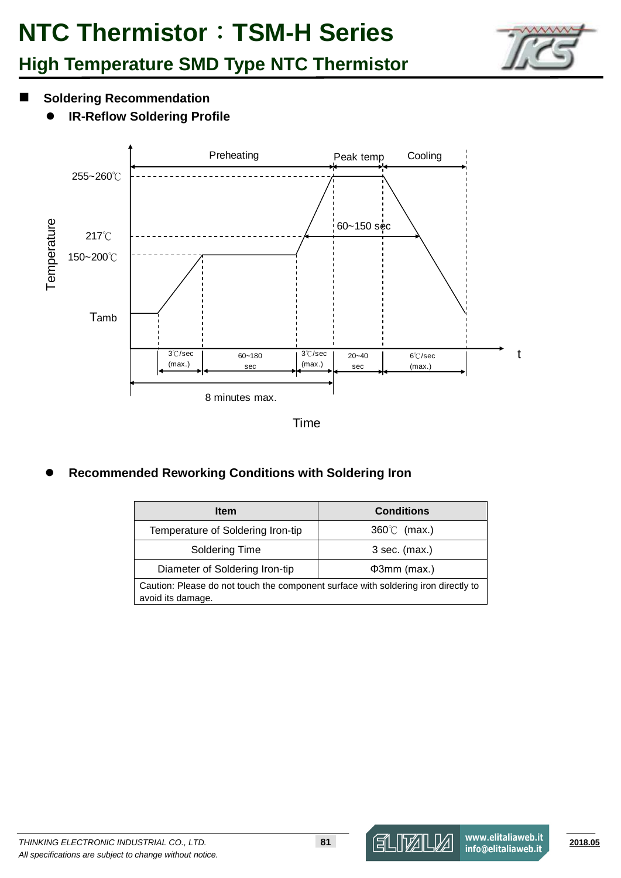

#### $\blacksquare$  Soldering Recommendation

**IR-Reflow Soldering Profile**



Time

**Recommended Reworking Conditions with Soldering Iron**

| <b>Item</b>                                                                                             | <b>Conditions</b>    |  |  |  |  |  |
|---------------------------------------------------------------------------------------------------------|----------------------|--|--|--|--|--|
| Temperature of Soldering Iron-tip                                                                       | $360^{\circ}$ (max.) |  |  |  |  |  |
| Soldering Time                                                                                          | $3$ sec. (max.)      |  |  |  |  |  |
| Diameter of Soldering Iron-tip                                                                          | $\Phi$ 3mm (max.)    |  |  |  |  |  |
| Caution: Please do not touch the component surface with soldering iron directly to<br>avoid its damage. |                      |  |  |  |  |  |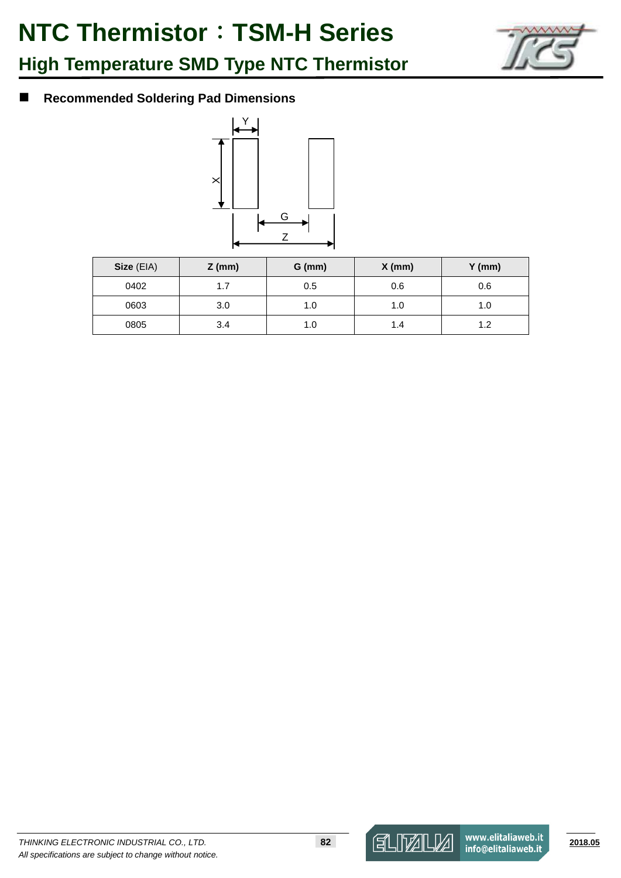

### **Recommended Soldering Pad Dimensions**



| Size (EIA) | $Z$ (mm) | $G$ (mm) | $X$ (mm) | $Y$ (mm) |
|------------|----------|----------|----------|----------|
| 0402       | 1.7      | 0.5      | 0.6      | 0.6      |
| 0603       | 3.0      | 1.0      | 1.0      |          |
| 0805       | 3.4      | 1.0      | 1.4      |          |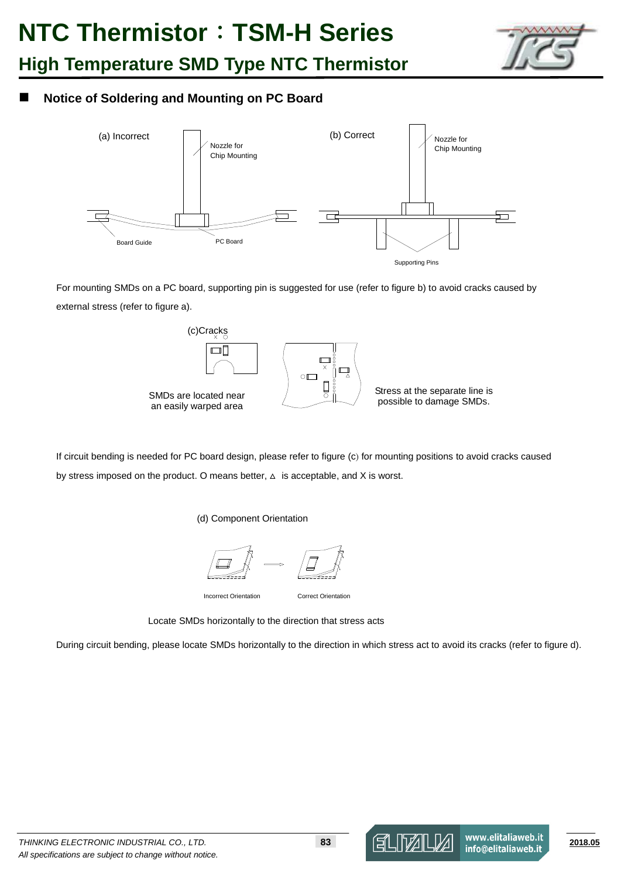

#### **Notice of Soldering and Mounting on PC Board**



For mounting SMDs on a PC board, supporting pin is suggested for use (refer to figure b) to avoid cracks caused by external stress (refer to figure a).



If circuit bending is needed for PC board design, please refer to figure (c) for mounting positions to avoid cracks caused by stress imposed on the product. O means better,  $\Delta$  is acceptable, and X is worst.

(d) Component Orientation



Locate SMDs horizontally to the direction that stress acts

During circuit bending, please locate SMDs horizontally to the direction in which stress act to avoid its cracks (refer to figure d).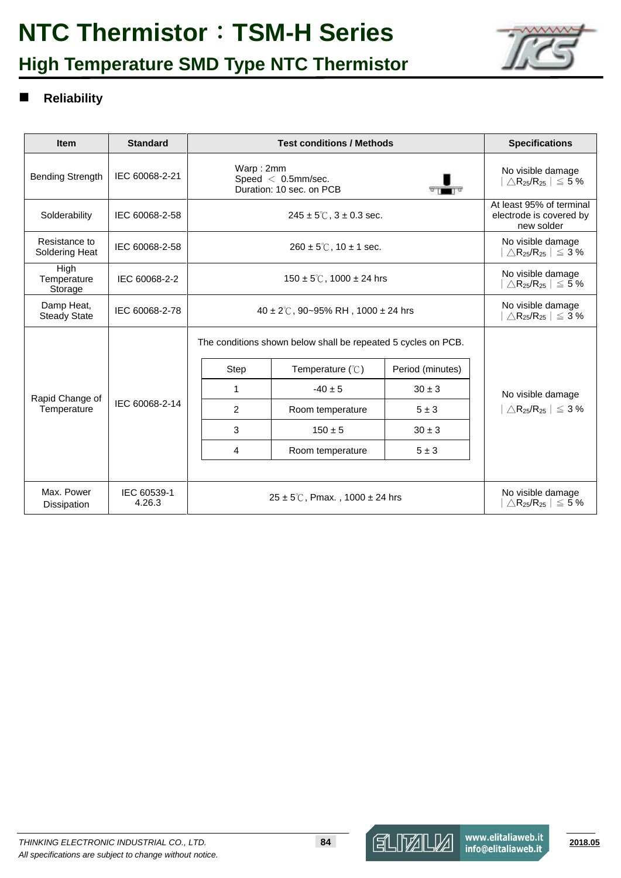# **NTC Thermistor**:**TSM-H Series**

## **High Temperature SMD Type NTC Thermistor**



#### **Reliability**

| <b>Item</b>                       | <b>Standard</b>       |                                                                                                                                  | <b>Specifications</b>                                                          |                  |                                                                                |  |
|-----------------------------------|-----------------------|----------------------------------------------------------------------------------------------------------------------------------|--------------------------------------------------------------------------------|------------------|--------------------------------------------------------------------------------|--|
| <b>Bending Strength</b>           | IEC 60068-2-21        | Warp: 2mm<br>Speed $< 0.5$ mm/sec.<br>Duration: 10 sec. on PCB                                                                   | No visible damage<br>$\bigtriangleup R_{25}/R_{25}$ $\big \leq$ 5 %            |                  |                                                                                |  |
| Solderability                     | IEC 60068-2-58        |                                                                                                                                  | $245 \pm 5^{\circ}$ , $3 \pm 0.3$ sec.                                         |                  | At least 95% of terminal<br>electrode is covered by<br>new solder              |  |
| Resistance to<br>Soldering Heat   | IEC 60068-2-58        |                                                                                                                                  | $260 \pm 5^{\circ}$ C, 10 $\pm$ 1 sec.                                         |                  | No visible damage<br>$\triangle$ R <sub>25</sub> /R <sub>25</sub>   $\leq$ 3 % |  |
| High<br>Temperature<br>Storage    | IEC 60068-2-2         |                                                                                                                                  | No visible damage<br>$\triangle$ R <sub>25</sub> /R <sub>25</sub>   $\leq$ 5 % |                  |                                                                                |  |
| Damp Heat,<br><b>Steady State</b> | IEC 60068-2-78        | $40 \pm 2^{\circ}$ C, 90~95% RH, 1000 ± 24 hrs                                                                                   | No visible damage<br>$\triangle$ R <sub>25</sub> /R <sub>25</sub>   $\leq$ 3 % |                  |                                                                                |  |
|                                   |                       |                                                                                                                                  | The conditions shown below shall be repeated 5 cycles on PCB.                  |                  |                                                                                |  |
|                                   |                       | Step                                                                                                                             | Temperature $(\mathcal{C})$                                                    | Period (minutes) |                                                                                |  |
| Rapid Change of                   |                       | 1                                                                                                                                | $-40 \pm 5$                                                                    | $30 \pm 3$       | No visible damage                                                              |  |
| Temperature                       | IEC 60068-2-14        | 2                                                                                                                                | Room temperature                                                               | $5 \pm 3$        | $\land$ R <sub>25</sub> /R <sub>25</sub>   $\leq$ 3 %                          |  |
|                                   |                       | 3                                                                                                                                | $150 \pm 5$                                                                    | $30 \pm 3$       |                                                                                |  |
|                                   |                       | 4                                                                                                                                | Room temperature                                                               | $5 \pm 3$        |                                                                                |  |
|                                   |                       |                                                                                                                                  |                                                                                |                  |                                                                                |  |
| Max. Power<br>Dissipation         | IEC 60539-1<br>4.26.3 | No visible damage<br>$25 \pm 5^{\circ}$ C, Pmax., 1000 $\pm$ 24 hrs<br>$\triangle$ R <sub>25</sub> /R <sub>25</sub>   $\leq$ 5 % |                                                                                |                  |                                                                                |  |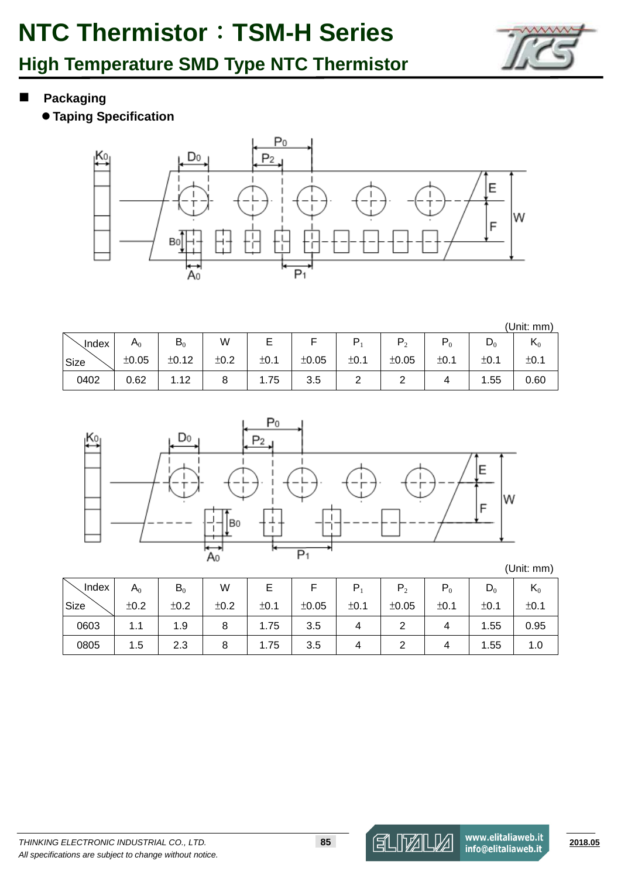

- **Packaging** 
	- **Taping Specification**



|              |               |       |      |      |       |      |                |       |                | (Unit: mm) |
|--------------|---------------|-------|------|------|-------|------|----------------|-------|----------------|------------|
| <b>Index</b> | $\mathsf A_0$ | $B_0$ | W    |      |       |      | $\mathbf{p}_2$ | $P_0$ | $\mathsf{D}_0$ | $K_0$      |
| Size         | ±0.05         | ±0.12 | ±0.2 | ±0.1 | ±0.05 | ±0.1 | ±0.05          | ±0.1  | ±0.1           | ±0.1       |
| 0402         | 0.62          | 1.12  | ჾ    | 1.75 | 3.5   | ▃    |                | 4     | l.55           | 0.60       |



(Unit: mm)

| Index | $A_0$ | $B_0$ | W    |      |       | P.   |       | $P_0$ | $D_0$ | $\mathbf{n}_0$ |
|-------|-------|-------|------|------|-------|------|-------|-------|-------|----------------|
| Size  | ±0.2  | ±0.2  | ±0.2 | ±0.1 | ±0.05 | ±0.1 | ±0.05 | ±0.1  | ±0.1  | ±0.1           |
| 0603  | 1.1   | 1.9   | 8    | 1.75 | 3.5   | 4    |       | 4     | 1.55  | 0.95           |
| 0805  | 1.5   | 2.3   | 8    | 1.75 | 3.5   |      |       |       | 1.55  | 1.0            |